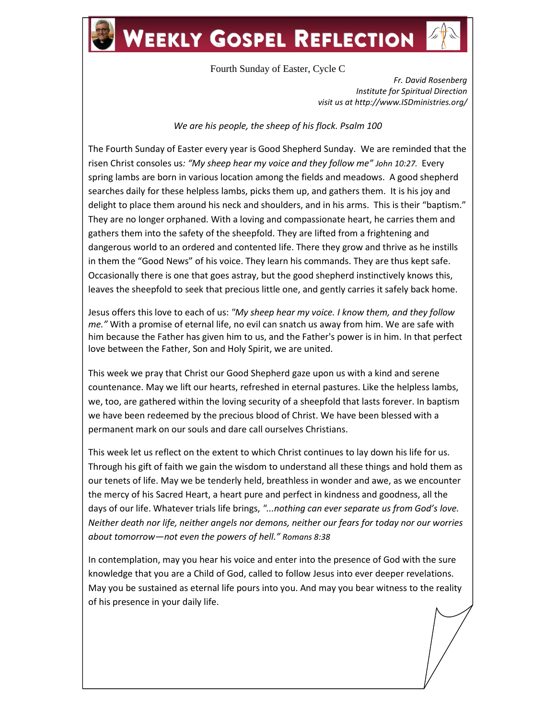## **WEEKLY GOSPEL REFLECTION**

Fourth Sunday of Easter, Cycle C

*Fr. David Rosenberg Institute for Spiritual Direction visit us at http://www.ISDministries.org/*

## *We are his people, the sheep of his flock. Psalm 100*

The Fourth Sunday of Easter every year is Good Shepherd Sunday. We are reminded that the risen Christ consoles us*: "My sheep hear my voice and they follow me" John 10:27.* Every spring lambs are born in various location among the fields and meadows. A good shepherd searches daily for these helpless lambs, picks them up, and gathers them. It is his joy and delight to place them around his neck and shoulders, and in his arms. This is their "baptism." They are no longer orphaned. With a loving and compassionate heart, he carries them and gathers them into the safety of the sheepfold. They are lifted from a frightening and dangerous world to an ordered and contented life. There they grow and thrive as he instills in them the "Good News" of his voice. They learn his commands. They are thus kept safe. Occasionally there is one that goes astray, but the good shepherd instinctively knows this, leaves the sheepfold to seek that precious little one, and gently carries it safely back home.

Jesus offers this love to each of us: *"My sheep hear my voice. I know them, and they follow me."* With a promise of eternal life, no evil can snatch us away from him. We are safe with him because the Father has given him to us, and the Father's power is in him. In that perfect love between the Father, Son and Holy Spirit, we are united.

This week we pray that Christ our Good Shepherd gaze upon us with a kind and serene countenance. May we lift our hearts, refreshed in eternal pastures. Like the helpless lambs, we, too, are gathered within the loving security of a sheepfold that lasts forever. In baptism we have been redeemed by the precious blood of Christ. We have been blessed with a permanent mark on our souls and dare call ourselves Christians.

This week let us reflect on the extent to which Christ continues to lay down his life for us. Through his gift of faith we gain the wisdom to understand all these things and hold them as our tenets of life. May we be tenderly held, breathless in wonder and awe, as we encounter the mercy of his Sacred Heart, a heart pure and perfect in kindness and goodness, all the days of our life. Whatever trials life brings, *"...nothing can ever separate us from God's love. Neither death nor life, neither angels nor demons, neither our fears for today nor our worries about tomorrow—not even the powers of hell." Romans 8:38*

In contemplation, may you hear his voice and enter into the presence of God with the sure knowledge that you are a Child of God, called to follow Jesus into ever deeper revelations. May you be sustained as eternal life pours into you. And may you bear witness to the reality of his presence in your daily life.